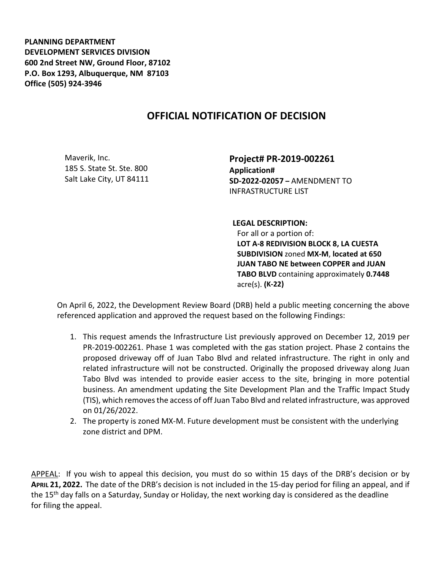**PLANNING DEPARTMENT DEVELOPMENT SERVICES DIVISION 600 2nd Street NW, Ground Floor, 87102 P.O. Box 1293, Albuquerque, NM 87103 Office (505) 924-3946** 

## **OFFICIAL NOTIFICATION OF DECISION**

Maverik, Inc. 185 S. State St. Ste. 800 Salt Lake City, UT 84111 **Project# PR-2019-002261 Application# SD-2022-02057 –** AMENDMENT TO INFRASTRUCTURE LIST

**LEGAL DESCRIPTION:**

For all or a portion of: **LOT A-8 REDIVISION BLOCK 8, LA CUESTA SUBDIVISION** zoned **MX-M**, **located at 650 JUAN TABO NE between COPPER and JUAN TABO BLVD** containing approximately **0.7448**  acre(s). **(K-22)** 

On April 6, 2022, the Development Review Board (DRB) held a public meeting concerning the above referenced application and approved the request based on the following Findings:

- 1. This request amends the Infrastructure List previously approved on December 12, 2019 per PR-2019-002261. Phase 1 was completed with the gas station project. Phase 2 contains the proposed driveway off of Juan Tabo Blvd and related infrastructure. The right in only and related infrastructure will not be constructed. Originally the proposed driveway along Juan Tabo Blvd was intended to provide easier access to the site, bringing in more potential business. An amendment updating the Site Development Plan and the Traffic Impact Study (TIS), which removes the access of off Juan Tabo Blvd and related infrastructure, was approved on 01/26/2022.
- 2. The property is zoned MX-M. Future development must be consistent with the underlying zone district and DPM.

APPEAL: If you wish to appeal this decision, you must do so within 15 days of the DRB's decision or by **APRIL 21, 2022.** The date of the DRB's decision is not included in the 15-day period for filing an appeal, and if the 15<sup>th</sup> day falls on a Saturday, Sunday or Holiday, the next working day is considered as the deadline for filing the appeal.